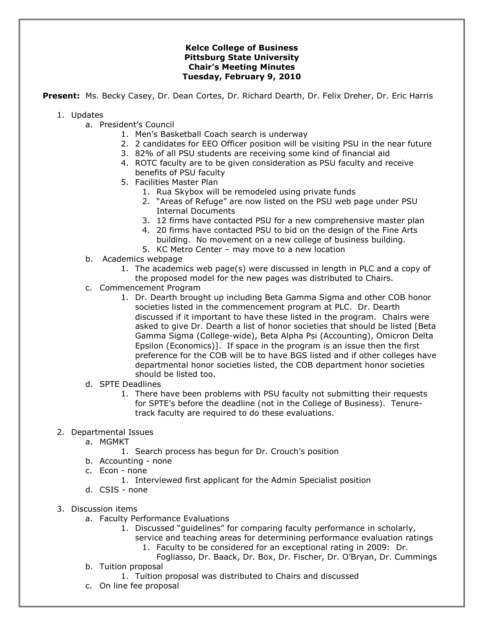## **Kelce College of Business Pittsburg State University Chair's Meeting Minutes Tuesday, February 9, 2010**

**Present:** Ms. Becky Casey, Dr. Dean Cortes, Dr. Richard Dearth, Dr. Felix Dreher, Dr. Eric Harris

- 1. Updates
	- a. President's Council
		- 1. Men's Basketball Coach search is underway
		- 2. 2 candidates for EEO Officer position will be visiting PSU in the near future
		- 3. 82% of all PSU students are receiving some kind of financial aid
		- 4. ROTC faculty are to be given consideration as PSU faculty and receive benefits of PSU faculty
		- 5. Facilities Master Plan
			- 1. Rua Skybox will be remodeled using private funds
			- 2. "Areas of Refuge" are now listed on the PSU web page under PSU Internal Documents
			- 3. 12 firms have contacted PSU for a new comprehensive master plan
			- 4. 20 firms have contacted PSU to bid on the design of the Fine Arts building. No movement on a new college of business building.
			- 5. KC Metro Center may move to a new location
	- b. Academics webpage
		- 1. The academics web page(s) were discussed in length in PLC and a copy of the proposed model for the new pages was distributed to Chairs.
	- c. Commencement Program
		- 1. Dr. Dearth brought up including Beta Gamma Sigma and other COB honor societies listed in the commencement program at PLC. Dr. Dearth discussed if it important to have these listed in the program. Chairs were asked to give Dr. Dearth a list of honor societies that should be listed [Beta Gamma Sigma (College-wide), Beta Alpha Psi (Accounting), Omicron Delta Epsilon (Economics)]. If space in the program is an issue then the first preference for the COB will be to have BGS listed and if other colleges have departmental honor societies listed, the COB department honor societies should be listed too.
	- d. SPTE Deadlines
		- 1. There have been problems with PSU faculty not submitting their requests for SPTE's before the deadline (not in the College of Business). Tenuretrack faculty are required to do these evaluations.
- 2. Departmental Issues
	- a. MGMKT
		- 1. Search process has begun for Dr. Crouch's position
	- b. Accounting none
	- c. Econ none
		- 1. Interviewed first applicant for the Admin Specialist position
	- d. CSIS none
- 3. Discussion items
	- a. Faculty Performance Evaluations
		- 1. Discussed "guidelines" for comparing faculty performance in scholarly, service and teaching areas for determining performance evaluation ratings
			- 1. Faculty to be considered for an exceptional rating in 2009: Dr.
	- Fogliasso, Dr. Baack, Dr. Box, Dr. Fischer, Dr. O'Bryan, Dr. Cummings b. Tuition proposal
		- 1. Tuition proposal was distributed to Chairs and discussed
	- c. On line fee proposal